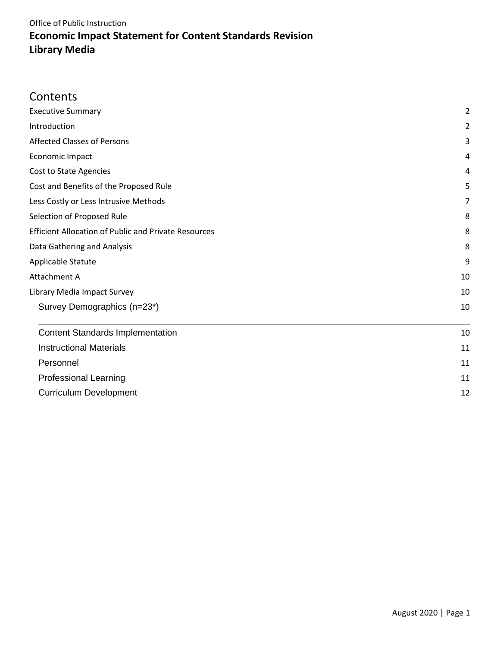## **Contents**

| <b>Executive Summary</b>                                                                   | $\overline{2}$ |
|--------------------------------------------------------------------------------------------|----------------|
| Introduction                                                                               | $\overline{2}$ |
| <b>Affected Classes of Persons</b>                                                         | 3              |
| Economic Impact                                                                            | 4              |
| Cost to State Agencies                                                                     | 4              |
| Cost and Benefits of the Proposed Rule                                                     | 5              |
| Less Costly or Less Intrusive Methods                                                      | 7              |
| Selection of Proposed Rule                                                                 | 8              |
| <b>Efficient Allocation of Public and Private Resources</b><br>Data Gathering and Analysis | 8              |
|                                                                                            | 8              |
| Applicable Statute                                                                         | 9              |
| Attachment A                                                                               | 10             |
| Library Media Impact Survey                                                                | 10             |
| Survey Demographics (n=23*)                                                                | 10             |
| <b>Content Standards Implementation</b>                                                    | 10             |
| <b>Instructional Materials</b>                                                             | 11             |
| Personnel                                                                                  | 11             |
| <b>Professional Learning</b>                                                               | 11             |
| <b>Curriculum Development</b>                                                              | 12             |
|                                                                                            |                |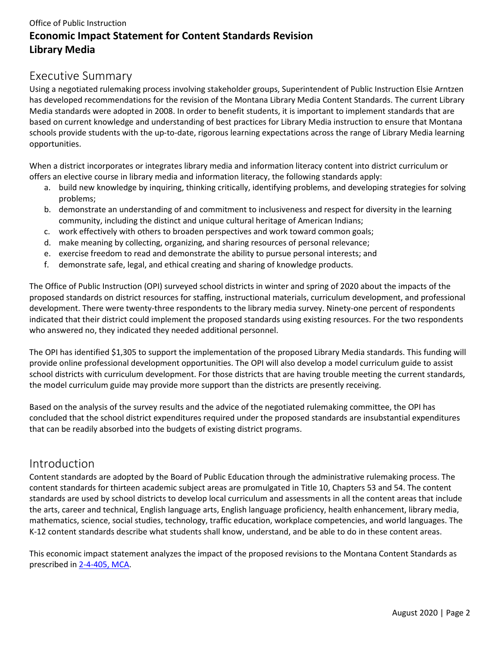### <span id="page-1-0"></span>Executive Summary

Using a negotiated rulemaking process involving stakeholder groups, Superintendent of Public Instruction Elsie Arntzen has developed recommendations for the revision of the Montana Library Media Content Standards. The current Library Media standards were adopted in 2008. In order to benefit students, it is important to implement standards that are based on current knowledge and understanding of best practices for Library Media instruction to ensure that Montana schools provide students with the up-to-date, rigorous learning expectations across the range of Library Media learning opportunities.

When a district incorporates or integrates library media and information literacy content into district curriculum or offers an elective course in library media and information literacy, the following standards apply:

- a. build new knowledge by inquiring, thinking critically, identifying problems, and developing strategies for solving problems;
- b. demonstrate an understanding of and commitment to inclusiveness and respect for diversity in the learning community, including the distinct and unique cultural heritage of American Indians;
- c. work effectively with others to broaden perspectives and work toward common goals;
- d. make meaning by collecting, organizing, and sharing resources of personal relevance;
- e. exercise freedom to read and demonstrate the ability to pursue personal interests; and
- f. demonstrate safe, legal, and ethical creating and sharing of knowledge products.

The Office of Public Instruction (OPI) surveyed school districts in winter and spring of 2020 about the impacts of the proposed standards on district resources for staffing, instructional materials, curriculum development, and professional development. There were twenty-three respondents to the library media survey. Ninety-one percent of respondents indicated that their district could implement the proposed standards using existing resources. For the two respondents who answered no, they indicated they needed additional personnel.

The OPI has identified \$1,305 to support the implementation of the proposed Library Media standards. This funding will provide online professional development opportunities. The OPI will also develop a model curriculum guide to assist school districts with curriculum development. For those districts that are having trouble meeting the current standards, the model curriculum guide may provide more support than the districts are presently receiving.

Based on the analysis of the survey results and the advice of the negotiated rulemaking committee, the OPI has concluded that the school district expenditures required under the proposed standards are insubstantial expenditures that can be readily absorbed into the budgets of existing district programs.

## <span id="page-1-1"></span>Introduction

Content standards are adopted by the Board of Public Education through the administrative rulemaking process. The content standards for thirteen academic subject areas are promulgated in Title 10, Chapters 53 and 54. The content standards are used by school districts to develop local curriculum and assessments in all the content areas that include the arts, career and technical, English language arts, English language proficiency, health enhancement, library media, mathematics, science, social studies, technology, traffic education, workplace competencies, and world languages. The K-12 content standards describe what students shall know, understand, and be able to do in these content areas.

This economic impact statement analyzes the impact of the proposed revisions to the Montana Content Standards as prescribed i[n 2-4-405, MCA.](http://leg.mt.gov/bills/mca/2/4/2-4-405.htm)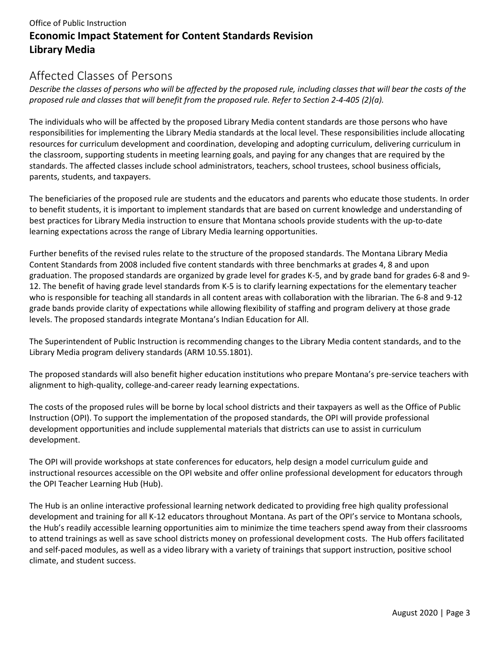## <span id="page-2-0"></span>Affected Classes of Persons

*Describe the classes of persons who will be affected by the proposed rule, including classes that will bear the costs of the proposed rule and classes that will benefit from the proposed rule. Refer to Section 2-4-405 (2)(a).*

The individuals who will be affected by the proposed Library Media content standards are those persons who have responsibilities for implementing the Library Media standards at the local level. These responsibilities include allocating resources for curriculum development and coordination, developing and adopting curriculum, delivering curriculum in the classroom, supporting students in meeting learning goals, and paying for any changes that are required by the standards. The affected classes include school administrators, teachers, school trustees, school business officials, parents, students, and taxpayers.

The beneficiaries of the proposed rule are students and the educators and parents who educate those students. In order to benefit students, it is important to implement standards that are based on current knowledge and understanding of best practices for Library Media instruction to ensure that Montana schools provide students with the up-to-date learning expectations across the range of Library Media learning opportunities.

Further benefits of the revised rules relate to the structure of the proposed standards. The Montana Library Media Content Standards from 2008 included five content standards with three benchmarks at grades 4, 8 and upon graduation. The proposed standards are organized by grade level for grades K-5, and by grade band for grades 6-8 and 9- 12. The benefit of having grade level standards from K-5 is to clarify learning expectations for the elementary teacher who is responsible for teaching all standards in all content areas with collaboration with the librarian. The 6-8 and 9-12 grade bands provide clarity of expectations while allowing flexibility of staffing and program delivery at those grade levels. The proposed standards integrate Montana's Indian Education for All.

The Superintendent of Public Instruction is recommending changes to the Library Media content standards, and to the Library Media program delivery standards (ARM 10.55.1801).

The proposed standards will also benefit higher education institutions who prepare Montana's pre-service teachers with alignment to high-quality, college-and-career ready learning expectations.

The costs of the proposed rules will be borne by local school districts and their taxpayers as well as the Office of Public Instruction (OPI). To support the implementation of the proposed standards, the OPI will provide professional development opportunities and include supplemental materials that districts can use to assist in curriculum development.

The OPI will provide workshops at state conferences for educators, help design a model curriculum guide and instructional resources accessible on the OPI website and offer online professional development for educators through the OPI Teacher Learning Hub (Hub).

The Hub is an online interactive professional learning network dedicated to providing free high quality professional development and training for all K-12 educators throughout Montana. As part of the OPI's service to Montana schools, the Hub's readily accessible learning opportunities aim to minimize the time teachers spend away from their classrooms to attend trainings as well as save school districts money on professional development costs. The Hub offers facilitated and self-paced modules, as well as a video library with a variety of trainings that support instruction, positive school climate, and student success.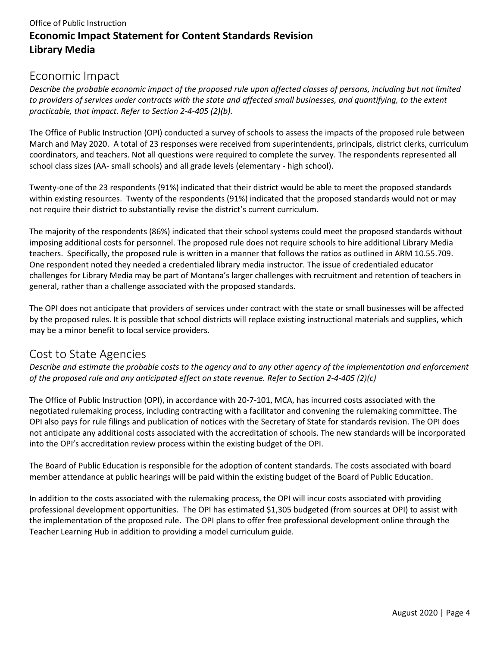## <span id="page-3-0"></span>Economic Impact

*Describe the probable economic impact of the proposed rule upon affected classes of persons, including but not limited to providers of services under contracts with the state and affected small businesses, and quantifying, to the extent practicable, that impact. Refer to Section 2-4-405 (2)(b).*

The Office of Public Instruction (OPI) conducted a survey of schools to assess the impacts of the proposed rule between March and May 2020. A total of 23 responses were received from superintendents, principals, district clerks, curriculum coordinators, and teachers. Not all questions were required to complete the survey. The respondents represented all school class sizes (AA- small schools) and all grade levels (elementary - high school).

Twenty-one of the 23 respondents (91%) indicated that their district would be able to meet the proposed standards within existing resources. Twenty of the respondents (91%) indicated that the proposed standards would not or may not require their district to substantially revise the district's current curriculum.

The majority of the respondents (86%) indicated that their school systems could meet the proposed standards without imposing additional costs for personnel. The proposed rule does not require schools to hire additional Library Media teachers. Specifically, the proposed rule is written in a manner that follows the ratios as outlined in ARM 10.55.709. One respondent noted they needed a credentialed library media instructor. The issue of credentialed educator challenges for Library Media may be part of Montana's larger challenges with recruitment and retention of teachers in general, rather than a challenge associated with the proposed standards.

The OPI does not anticipate that providers of services under contract with the state or small businesses will be affected by the proposed rules. It is possible that school districts will replace existing instructional materials and supplies, which may be a minor benefit to local service providers.

## <span id="page-3-1"></span>Cost to State Agencies

*Describe and estimate the probable costs to the agency and to any other agency of the implementation and enforcement of the proposed rule and any anticipated effect on state revenue. Refer to Section 2-4-405 (2)(c)*

The Office of Public Instruction (OPI), in accordance with 20-7-101, MCA, has incurred costs associated with the negotiated rulemaking process, including contracting with a facilitator and convening the rulemaking committee. The OPI also pays for rule filings and publication of notices with the Secretary of State for standards revision. The OPI does not anticipate any additional costs associated with the accreditation of schools. The new standards will be incorporated into the OPI's accreditation review process within the existing budget of the OPI.

The Board of Public Education is responsible for the adoption of content standards. The costs associated with board member attendance at public hearings will be paid within the existing budget of the Board of Public Education.

In addition to the costs associated with the rulemaking process, the OPI will incur costs associated with providing professional development opportunities. The OPI has estimated \$1,305 budgeted (from sources at OPI) to assist with the implementation of the proposed rule. The OPI plans to offer free professional development online through the Teacher Learning Hub in addition to providing a model curriculum guide.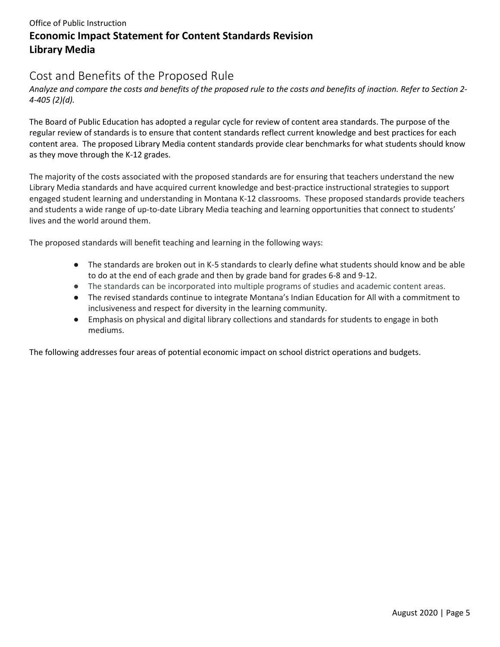## <span id="page-4-0"></span>Cost and Benefits of the Proposed Rule

*Analyze and compare the costs and benefits of the proposed rule to the costs and benefits of inaction. Refer to Section 2- 4-405 (2)(d).*

The Board of Public Education has adopted a regular cycle for review of content area standards. The purpose of the regular review of standards is to ensure that content standards reflect current knowledge and best practices for each content area. The proposed Library Media content standards provide clear benchmarks for what students should know as they move through the K-12 grades.

The majority of the costs associated with the proposed standards are for ensuring that teachers understand the new Library Media standards and have acquired current knowledge and best-practice instructional strategies to support engaged student learning and understanding in Montana K-12 classrooms. These proposed standards provide teachers and students a wide range of up-to-date Library Media teaching and learning opportunities that connect to students' lives and the world around them.

The proposed standards will benefit teaching and learning in the following ways:

- The standards are broken out in K-5 standards to clearly define what students should know and be able to do at the end of each grade and then by grade band for grades 6-8 and 9-12.
- The standards can be incorporated into multiple programs of studies and academic content areas.
- The revised standards continue to integrate Montana's Indian Education for All with a commitment to inclusiveness and respect for diversity in the learning community.
- Emphasis on physical and digital library collections and standards for students to engage in both mediums.

The following addresses four areas of potential economic impact on school district operations and budgets.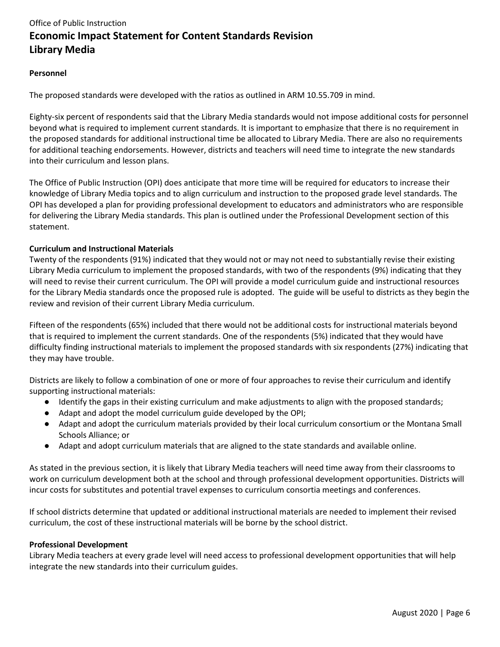#### **Personnel**

The proposed standards were developed with the ratios as outlined in ARM 10.55.709 in mind.

Eighty-six percent of respondents said that the Library Media standards would not impose additional costs for personnel beyond what is required to implement current standards. It is important to emphasize that there is no requirement in the proposed standards for additional instructional time be allocated to Library Media. There are also no requirements for additional teaching endorsements. However, districts and teachers will need time to integrate the new standards into their curriculum and lesson plans.

The Office of Public Instruction (OPI) does anticipate that more time will be required for educators to increase their knowledge of Library Media topics and to align curriculum and instruction to the proposed grade level standards. The OPI has developed a plan for providing professional development to educators and administrators who are responsible for delivering the Library Media standards. This plan is outlined under the Professional Development section of this statement.

#### **Curriculum and Instructional Materials**

Twenty of the respondents (91%) indicated that they would not or may not need to substantially revise their existing Library Media curriculum to implement the proposed standards, with two of the respondents (9%) indicating that they will need to revise their current curriculum. The OPI will provide a model curriculum guide and instructional resources for the Library Media standards once the proposed rule is adopted. The guide will be useful to districts as they begin the review and revision of their current Library Media curriculum.

Fifteen of the respondents (65%) included that there would not be additional costs for instructional materials beyond that is required to implement the current standards. One of the respondents (5%) indicated that they would have difficulty finding instructional materials to implement the proposed standards with six respondents (27%) indicating that they may have trouble.

Districts are likely to follow a combination of one or more of four approaches to revise their curriculum and identify supporting instructional materials:

- Identify the gaps in their existing curriculum and make adjustments to align with the proposed standards;
- Adapt and adopt the model curriculum guide developed by the OPI;
- Adapt and adopt the curriculum materials provided by their local curriculum consortium or the Montana Small Schools Alliance; or
- Adapt and adopt curriculum materials that are aligned to the state standards and available online.

As stated in the previous section, it is likely that Library Media teachers will need time away from their classrooms to work on curriculum development both at the school and through professional development opportunities. Districts will incur costs for substitutes and potential travel expenses to curriculum consortia meetings and conferences.

If school districts determine that updated or additional instructional materials are needed to implement their revised curriculum, the cost of these instructional materials will be borne by the school district.

#### **Professional Development**

Library Media teachers at every grade level will need access to professional development opportunities that will help integrate the new standards into their curriculum guides.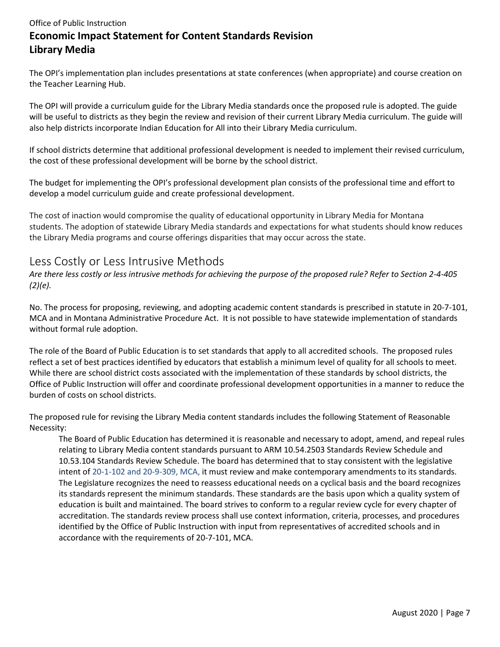The OPI's implementation plan includes presentations at state conferences (when appropriate) and course creation on the Teacher Learning Hub.

The OPI will provide a curriculum guide for the Library Media standards once the proposed rule is adopted. The guide will be useful to districts as they begin the review and revision of their current Library Media curriculum. The guide will also help districts incorporate Indian Education for All into their Library Media curriculum.

If school districts determine that additional professional development is needed to implement their revised curriculum, the cost of these professional development will be borne by the school district.

The budget for implementing the OPI's professional development plan consists of the professional time and effort to develop a model curriculum guide and create professional development.

The cost of inaction would compromise the quality of educational opportunity in Library Media for Montana students. The adoption of statewide Library Media standards and expectations for what students should know reduces the Library Media programs and course offerings disparities that may occur across the state.

## <span id="page-6-0"></span>Less Costly or Less Intrusive Methods

*Are there less costly or less intrusive methods for achieving the purpose of the proposed rule? Refer to Section 2-4-405 (2)(e).*

No. The process for proposing, reviewing, and adopting academic content standards is prescribed in statute in 20-7-101, MCA and in Montana Administrative Procedure Act. It is not possible to have statewide implementation of standards without formal rule adoption.

The role of the Board of Public Education is to set standards that apply to all accredited schools. The proposed rules reflect a set of best practices identified by educators that establish a minimum level of quality for all schools to meet. While there are school district costs associated with the implementation of these standards by school districts, the Office of Public Instruction will offer and coordinate professional development opportunities in a manner to reduce the burden of costs on school districts.

The proposed rule for revising the Library Media content standards includes the following Statement of Reasonable Necessity:

The Board of Public Education has determined it is reasonable and necessary to adopt, amend, and repeal rules relating to Library Media content standards pursuant to ARM 10.54.2503 Standards Review Schedule and 10.53.104 Standards Review Schedule. The board has determined that to stay consistent with the legislative intent of 20-1-102 and 20-9-309, MCA, it must review and make contemporary amendments to its standards. The Legislature recognizes the need to reassess educational needs on a cyclical basis and the board recognizes its standards represent the minimum standards. These standards are the basis upon which a quality system of education is built and maintained. The board strives to conform to a regular review cycle for every chapter of accreditation. The standards review process shall use context information, criteria, processes, and procedures identified by the Office of Public Instruction with input from representatives of accredited schools and in accordance with the requirements of 20-7-101, MCA.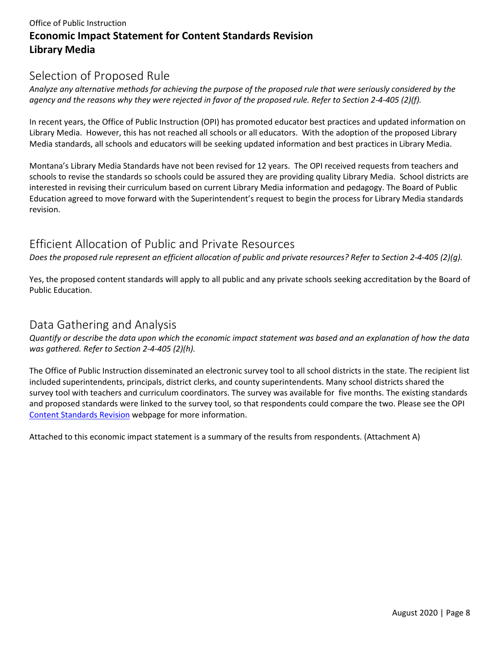## <span id="page-7-0"></span>Selection of Proposed Rule

*Analyze any alternative methods for achieving the purpose of the proposed rule that were seriously considered by the agency and the reasons why they were rejected in favor of the proposed rule. Refer to Section 2-4-405 (2)(f).*

In recent years, the Office of Public Instruction (OPI) has promoted educator best practices and updated information on Library Media. However, this has not reached all schools or all educators. With the adoption of the proposed Library Media standards, all schools and educators will be seeking updated information and best practices in Library Media.

Montana's Library Media Standards have not been revised for 12 years. The OPI received requests from teachers and schools to revise the standards so schools could be assured they are providing quality Library Media. School districts are interested in revising their curriculum based on current Library Media information and pedagogy. The Board of Public Education agreed to move forward with the Superintendent's request to begin the process for Library Media standards revision.

## <span id="page-7-1"></span>Efficient Allocation of Public and Private Resources

*Does the proposed rule represent an efficient allocation of public and private resources? Refer to Section 2-4-405 (2)(g).*

Yes, the proposed content standards will apply to all public and any private schools seeking accreditation by the Board of Public Education.

#### <span id="page-7-2"></span>Data Gathering and Analysis

*Quantify or describe the data upon which the economic impact statement was based and an explanation of how the data was gathered. Refer to Section 2-4-405 (2)(h).*

The Office of Public Instruction disseminated an electronic survey tool to all school districts in the state. The recipient list included superintendents, principals, district clerks, and county superintendents. Many school districts shared the survey tool with teachers and curriculum coordinators. The survey was available for five months. The existing standards and proposed standards were linked to the survey tool, so that respondents could compare the two. Please see the OPI [Content Standards Revision](http://opi.mt.gov/Educators/Teaching-Learning/K-12-Content-Standards-Revision) webpage for more information.

Attached to this economic impact statement is a summary of the results from respondents. (Attachment A)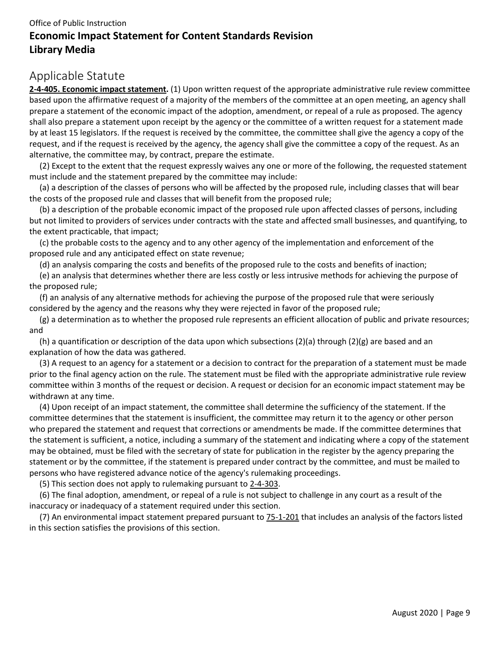## <span id="page-8-0"></span>Applicable Statute

**[2-4-405. Economic impact statement.](http://leg.mt.gov/bills/mca/2/4/2-4-405.htm)** (1) Upon written request of the appropriate administrative rule review committee based upon the affirmative request of a majority of the members of the committee at an open meeting, an agency shall prepare a statement of the economic impact of the adoption, amendment, or repeal of a rule as proposed. The agency shall also prepare a statement upon receipt by the agency or the committee of a written request for a statement made by at least 15 legislators. If the request is received by the committee, the committee shall give the agency a copy of the request, and if the request is received by the agency, the agency shall give the committee a copy of the request. As an alternative, the committee may, by contract, prepare the estimate.

 (2) Except to the extent that the request expressly waives any one or more of the following, the requested statement must include and the statement prepared by the committee may include:

 (a) a description of the classes of persons who will be affected by the proposed rule, including classes that will bear the costs of the proposed rule and classes that will benefit from the proposed rule;

 (b) a description of the probable economic impact of the proposed rule upon affected classes of persons, including but not limited to providers of services under contracts with the state and affected small businesses, and quantifying, to the extent practicable, that impact;

 (c) the probable costs to the agency and to any other agency of the implementation and enforcement of the proposed rule and any anticipated effect on state revenue;

(d) an analysis comparing the costs and benefits of the proposed rule to the costs and benefits of inaction;

 (e) an analysis that determines whether there are less costly or less intrusive methods for achieving the purpose of the proposed rule;

 (f) an analysis of any alternative methods for achieving the purpose of the proposed rule that were seriously considered by the agency and the reasons why they were rejected in favor of the proposed rule;

 (g) a determination as to whether the proposed rule represents an efficient allocation of public and private resources; and

(h) a quantification or description of the data upon which subsections (2)(a) through (2)(g) are based and an explanation of how the data was gathered.

 (3) A request to an agency for a statement or a decision to contract for the preparation of a statement must be made prior to the final agency action on the rule. The statement must be filed with the appropriate administrative rule review committee within 3 months of the request or decision. A request or decision for an economic impact statement may be withdrawn at any time.

 (4) Upon receipt of an impact statement, the committee shall determine the sufficiency of the statement. If the committee determines that the statement is insufficient, the committee may return it to the agency or other person who prepared the statement and request that corrections or amendments be made. If the committee determines that the statement is sufficient, a notice, including a summary of the statement and indicating where a copy of the statement may be obtained, must be filed with the secretary of state for publication in the register by the agency preparing the statement or by the committee, if the statement is prepared under contract by the committee, and must be mailed to persons who have registered advance notice of the agency's rulemaking proceedings.

(5) This section does not apply to rulemaking pursuant to [2-4-303.](http://leg.mt.gov/bills/mca/2/4/2-4-303.htm)

 (6) The final adoption, amendment, or repeal of a rule is not subject to challenge in any court as a result of the inaccuracy or inadequacy of a statement required under this section.

 (7) An environmental impact statement prepared pursuant to [75-1-201](http://leg.mt.gov/bills/mca/75/1/75-1-201.htm) that includes an analysis of the factors listed in this section satisfies the provisions of this section.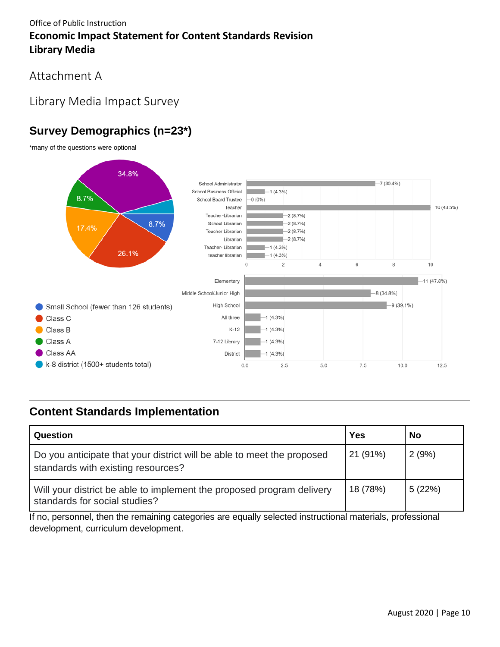<span id="page-9-0"></span>Attachment A

## <span id="page-9-1"></span>Library Media Impact Survey

# <span id="page-9-2"></span>**Survey Demographics (n=23\*)**

\*many of the questions were optional



## <span id="page-9-3"></span>**Content Standards Implementation**

| Question                                                                                                     | <b>Yes</b> | No     |
|--------------------------------------------------------------------------------------------------------------|------------|--------|
| Do you anticipate that your district will be able to meet the proposed<br>standards with existing resources? | 21 (91%)   | 2(9%)  |
| Will your district be able to implement the proposed program delivery<br>standards for social studies?       | 18 (78%)   | 5(22%) |

If no, personnel, then the remaining categories are equally selected instructional materials, professional development, curriculum development.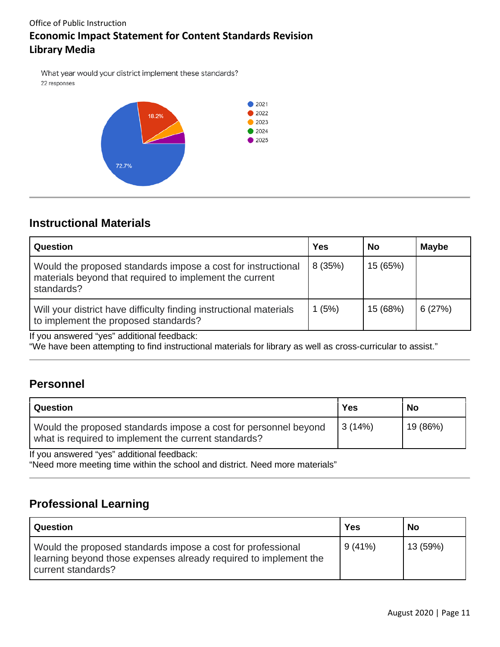What year would your district implement these standards? 22 responses



## <span id="page-10-0"></span>**Instructional Materials**

| Question                                                                                                                              | <b>Yes</b> | No       | <b>Maybe</b> |
|---------------------------------------------------------------------------------------------------------------------------------------|------------|----------|--------------|
| Would the proposed standards impose a cost for instructional<br>materials beyond that required to implement the current<br>standards? | 8(35%)     | 15 (65%) |              |
| Will your district have difficulty finding instructional materials<br>to implement the proposed standards?                            | 1(5%)      | 15 (68%) | 6(27%)       |

If you answered "yes" additional feedback:

"We have been attempting to find instructional materials for library as well as cross-curricular to assist."

## <span id="page-10-1"></span>**Personnel**

| Question                                                                                                                | Yes    | <b>No</b> |
|-------------------------------------------------------------------------------------------------------------------------|--------|-----------|
| Would the proposed standards impose a cost for personnel beyond<br>what is required to implement the current standards? | 3(14%) | 19 (86%)  |

If you answered "yes" additional feedback:

"Need more meeting time within the school and district. Need more materials"

## <span id="page-10-2"></span>**Professional Learning**

| Question                                                                                                                                              | Yes    | No       |
|-------------------------------------------------------------------------------------------------------------------------------------------------------|--------|----------|
| Would the proposed standards impose a cost for professional<br>learning beyond those expenses already required to implement the<br>current standards? | 9(41%) | 13 (59%) |